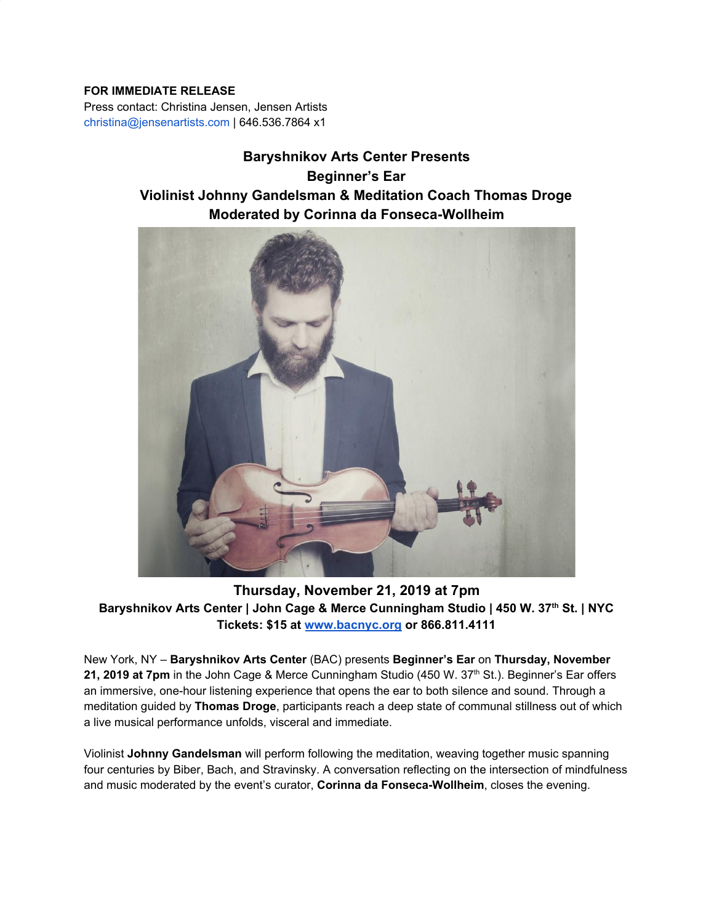## **FOR IMMEDIATE RELEASE**

Press contact: Christina Jensen, Jensen Artists christina@jensenartists.com | 646.536.7864 x1

# **Baryshnikov Arts Center Presents Beginner's Ear Violinist Johnny Gandelsman & Meditation Coach Thomas Droge Moderated by Corinna da Fonseca-Wollheim**



**Thursday, November 21, 2019 at 7pm** Baryshnikov Arts Center | John Cage & Merce Cunningham Studio | 450 W. 37<sup>th</sup> St. | NYC **Tickets: \$15 at [www.bacnyc.org](http://www.bacnyc.org/) or 866.811.4111**

New York, NY – **Baryshnikov Arts Center** (BAC) presents **Beginner's Ear** on **Thursday, November 21, 2019 at 7pm** in the John Cage & Merce Cunningham Studio (450 W. 37 th St.). Beginner's Ear offers an immersive, one-hour listening experience that opens the ear to both silence and sound. Through a meditation guided by **Thomas Droge**, participants reach a deep state of communal stillness out of which a live musical performance unfolds, visceral and immediate.

Violinist **Johnny Gandelsman** will perform following the meditation, weaving together music spanning four centuries by Biber, Bach, and Stravinsky. A conversation reflecting on the intersection of mindfulness and music moderated by the event's curator, **Corinna da Fonseca-Wollheim**, closes the evening.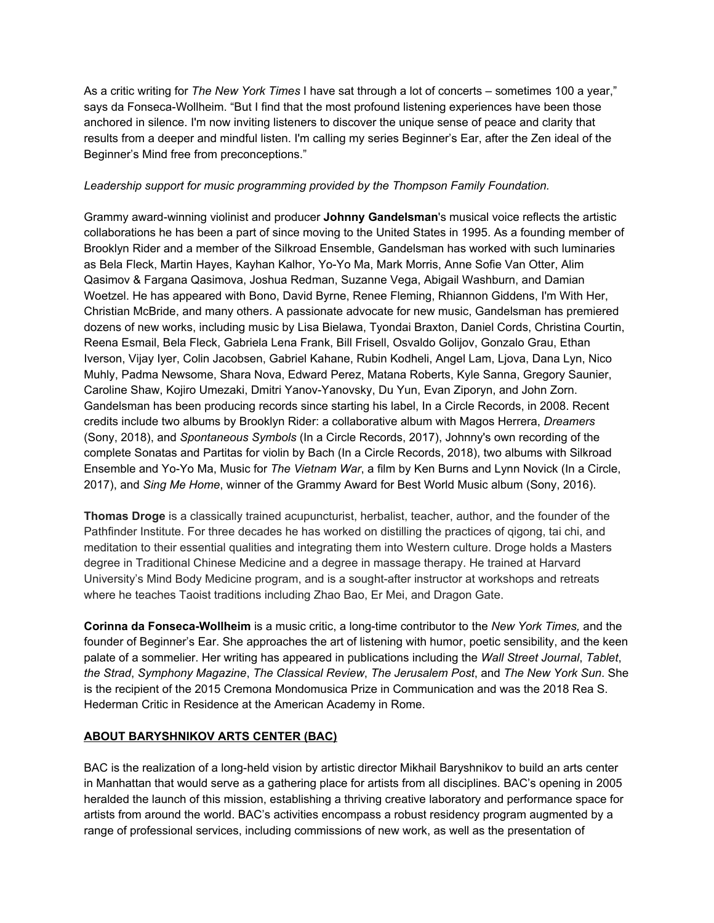As a critic writing for *The New York Times* I have sat through a lot of concerts – sometimes 100 a year," says da Fonseca-Wollheim. "But I find that the most profound listening experiences have been those anchored in silence. I'm now inviting listeners to discover the unique sense of peace and clarity that results from a deeper and mindful listen. I'm calling my series Beginner's Ear, after the Zen ideal of the Beginner's Mind free from preconceptions."

### *Leadership support for music programming provided by the Thompson Family Foundation.*

Grammy award-winning violinist and producer **Johnny Gandelsman**'s musical voice reflects the artistic collaborations he has been a part of since moving to the United States in 1995. As a founding member of Brooklyn Rider and a member of the Silkroad Ensemble, Gandelsman has worked with such luminaries as Bela Fleck, Martin Hayes, Kayhan Kalhor, Yo-Yo Ma, Mark Morris, Anne Sofie Van Otter, Alim Qasimov & Fargana Qasimova, Joshua Redman, Suzanne Vega, Abigail Washburn, and Damian Woetzel. He has appeared with Bono, David Byrne, Renee Fleming, Rhiannon Giddens, I'm With Her, Christian McBride, and many others. A passionate advocate for new music, Gandelsman has premiered dozens of new works, including music by Lisa Bielawa, Tyondai Braxton, Daniel Cords, Christina Courtin, Reena Esmail, Bela Fleck, Gabriela Lena Frank, Bill Frisell, Osvaldo Golijov, Gonzalo Grau, Ethan Iverson, Vijay Iyer, Colin Jacobsen, Gabriel Kahane, Rubin Kodheli, Angel Lam, Ljova, Dana Lyn, Nico Muhly, Padma Newsome, Shara Nova, Edward Perez, Matana Roberts, Kyle Sanna, Gregory Saunier, Caroline Shaw, Kojiro Umezaki, Dmitri Yanov-Yanovsky, Du Yun, Evan Ziporyn, and John Zorn. Gandelsman has been producing records since starting his label, In a Circle Records, in 2008. Recent credits include two albums by Brooklyn Rider: a collaborative album with Magos Herrera, *Dreamers* (Sony, 2018), and *Spontaneous Symbols* (In a Circle Records, 2017), Johnny's own recording of the complete Sonatas and Partitas for violin by Bach (In a Circle Records, 2018), two albums with Silkroad Ensemble and Yo-Yo Ma, Music for *The Vietnam War*, a film by Ken Burns and Lynn Novick (In a Circle, 2017), and *Sing Me Home*, winner of the Grammy Award for Best World Music album (Sony, 2016).

**Thomas Droge** is a classically trained acupuncturist, herbalist, teacher, author, and the founder of the Pathfinder Institute. For three decades he has worked on distilling the practices of qigong, tai chi, and meditation to their essential qualities and integrating them into Western culture. Droge holds a Masters degree in Traditional Chinese Medicine and a degree in massage therapy. He trained at Harvard University's Mind Body Medicine program, and is a sought-after instructor at workshops and retreats where he teaches Taoist traditions including Zhao Bao, Er Mei, and Dragon Gate.

**Corinna da Fonseca-Wollheim** is a music critic, a long-time contributor to the *New York Times,* and the founder of Beginner's Ear. She approaches the art of listening with humor, poetic sensibility, and the keen palate of a sommelier. Her writing has appeared in publications including the *Wall Street Journal*, *Tablet*, *the Strad*, *Symphony Magazine*, *The Classical Review*, *The Jerusalem Post*, and *The New York Sun*. She is the recipient of the 2015 Cremona Mondomusica Prize in Communication and was the 2018 Rea S. Hederman Critic in Residence at the American Academy in Rome.

# **ABOUT BARYSHNIKOV ARTS CENTER (BAC)**

BAC is the realization of a long-held vision by artistic director Mikhail Baryshnikov to build an arts center in Manhattan that would serve as a gathering place for artists from all disciplines. BAC's opening in 2005 heralded the launch of this mission, establishing a thriving creative laboratory and performance space for artists from around the world. BAC's activities encompass a robust residency program augmented by a range of professional services, including commissions of new work, as well as the presentation of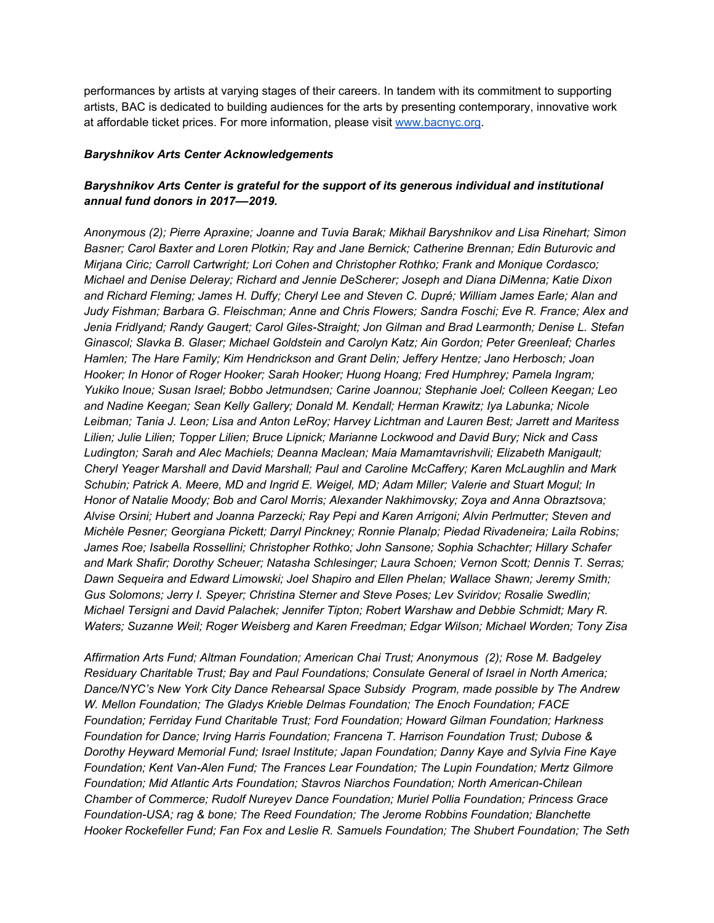performances by artists at varying stages of their careers. In tandem with its commitment to supporting artists, BAC is dedicated to building audiences for the arts by presenting contemporary, innovative work at affordable ticket prices. For more information, please visit [www.bacnyc.org](http://www.bacnyc.org/).

#### *Baryshnikov Arts Center Acknowledgements*

## *Baryshnikov Arts Center is grateful for the support of its generous individual and institutional annual fund donors in 2017––2019.*

*Anonymous (2); Pierre Apraxine; Joanne and Tuvia Barak; Mikhail Baryshnikov and Lisa Rinehart; Simon Basner; Carol Baxter and Loren Plotkin; Ray and Jane Bernick; Catherine Brennan; Edin Buturovic and Mirjana Ciric; Carroll Cartwright; Lori Cohen and Christopher Rothko; Frank and Monique Cordasco; Michael and Denise Deleray; Richard and Jennie DeScherer; Joseph and Diana DiMenna; Katie Dixon and Richard Fleming; James H. Duffy; Cheryl Lee and Steven C. Dupré; William James Earle; Alan and Judy Fishman; Barbara G. Fleischman; Anne and Chris Flowers; Sandra Foschi; Eve R. France; Alex and Jenia Fridlyand; Randy Gaugert; Carol Giles-Straight; Jon Gilman and Brad Learmonth; Denise L. Stefan Ginascol; Slavka B. Glaser; Michael Goldstein and Carolyn Katz; Ain Gordon; Peter Greenleaf; Charles Hamlen; The Hare Family; Kim Hendrickson and Grant Delin; Jeffery Hentze; Jano Herbosch; Joan Hooker; In Honor of Roger Hooker; Sarah Hooker; Huong Hoang; Fred Humphrey; Pamela Ingram; Yukiko Inoue; Susan Israel; Bobbo Jetmundsen; Carine Joannou; Stephanie Joel; Colleen Keegan; Leo and Nadine Keegan; Sean Kelly Gallery; Donald M. Kendall; Herman Krawitz; Iya Labunka; Nicole Leibman; Tania J. Leon; Lisa and Anton LeRoy; Harvey Lichtman and Lauren Best; Jarrett and Maritess Lilien; Julie Lilien; Topper Lilien; Bruce Lipnick; Marianne Lockwood and David Bury; Nick and Cass Ludington; Sarah and Alec Machiels; Deanna Maclean; Maia Mamamtavrishvili; Elizabeth Manigault; Cheryl Yeager Marshall and David Marshall; Paul and Caroline McCaffery; Karen McLaughlin and Mark Schubin; Patrick A. Meere, MD and Ingrid E. Weigel, MD; Adam Miller; Valerie and Stuart Mogul; In Honor of Natalie Moody; Bob and Carol Morris; Alexander Nakhimovsky; Zoya and Anna Obraztsova; Alvise Orsini; Hubert and Joanna Parzecki; Ray Pepi and Karen Arrigoni; Alvin Perlmutter; Steven and Michèle Pesner; Georgiana Pickett; Darryl Pinckney; Ronnie Planalp; Piedad Rivadeneira; Laila Robins; James Roe; Isabella Rossellini; Christopher Rothko; John Sansone; Sophia Schachter; Hillary Schafer and Mark Shafir; Dorothy Scheuer; Natasha Schlesinger; Laura Schoen; Vernon Scott; Dennis T. Serras; Dawn Sequeira and Edward Limowski; Joel Shapiro and Ellen Phelan; Wallace Shawn; Jeremy Smith; Gus Solomons; Jerry I. Speyer; Christina Sterner and Steve Poses; Lev Sviridov; Rosalie Swedlin; Michael Tersigni and David Palachek; Jennifer Tipton; Robert Warshaw and Debbie Schmidt; Mary R. Waters; Suzanne Weil; Roger Weisberg and Karen Freedman; Edgar Wilson; Michael Worden; Tony Zisa*

*Affirmation Arts Fund; Altman Foundation; American Chai Trust; Anonymous (2); Rose M. Badgeley Residuary Charitable Trust; Bay and Paul Foundations; Consulate General of Israel in North America; Dance/NYC's New York City Dance Rehearsal Space Subsidy Program, made possible by The Andrew W. Mellon Foundation; The Gladys Krieble Delmas Foundation; The Enoch Foundation; FACE Foundation; Ferriday Fund Charitable Trust; Ford Foundation; Howard Gilman Foundation; Harkness Foundation for Dance; Irving Harris Foundation; Francena T. Harrison Foundation Trust; Dubose & Dorothy Heyward Memorial Fund; Israel Institute; Japan Foundation; Danny Kaye and Sylvia Fine Kaye Foundation; Kent Van-Alen Fund; The Frances Lear Foundation; The Lupin Foundation; Mertz Gilmore Foundation; Mid Atlantic Arts Foundation; Stavros Niarchos Foundation; North American-Chilean Chamber of Commerce; Rudolf Nureyev Dance Foundation; Muriel Pollia Foundation; Princess Grace Foundation-USA; rag & bone; The Reed Foundation; The Jerome Robbins Foundation; Blanchette Hooker Rockefeller Fund; Fan Fox and Leslie R. Samuels Foundation; The Shubert Foundation; The Seth*